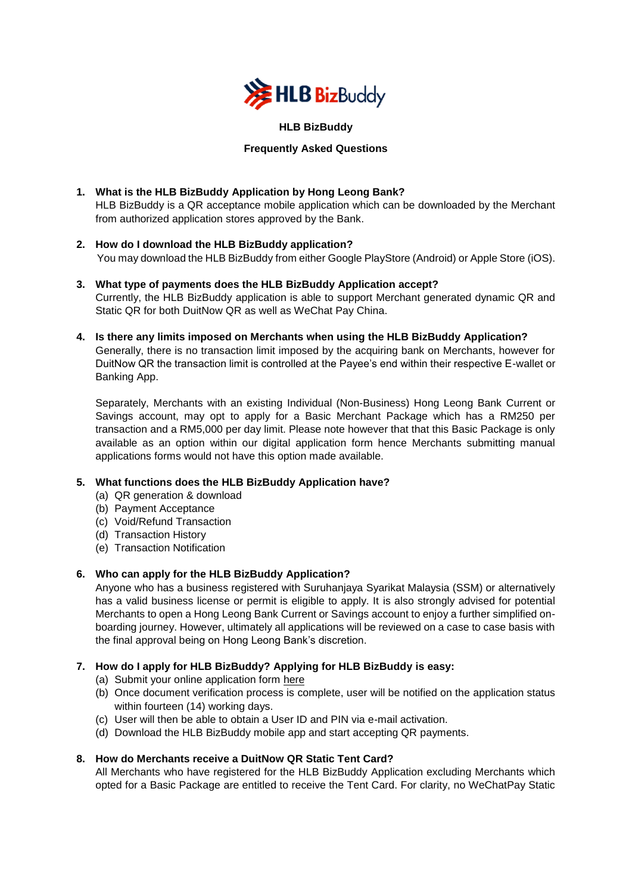

## **HLB BizBuddy**

# **Frequently Asked Questions**

- **1. What is the HLB BizBuddy Application by Hong Leong Bank?**  HLB BizBuddy is a QR acceptance mobile application which can be downloaded by the Merchant from authorized application stores approved by the Bank.
- **2. How do I download the HLB BizBuddy application?**  You may download the HLB BizBuddy from either Google PlayStore (Android) or Apple Store (iOS).
- **3. What type of payments does the HLB BizBuddy Application accept?**  Currently, the HLB BizBuddy application is able to support Merchant generated dynamic QR and Static QR for both DuitNow QR as well as WeChat Pay China.
- **4. Is there any limits imposed on Merchants when using the HLB BizBuddy Application?** Generally, there is no transaction limit imposed by the acquiring bank on Merchants, however for DuitNow QR the transaction limit is controlled at the Payee's end within their respective E-wallet or Banking App.

Separately, Merchants with an existing Individual (Non-Business) Hong Leong Bank Current or Savings account, may opt to apply for a Basic Merchant Package which has a RM250 per transaction and a RM5,000 per day limit. Please note however that that this Basic Package is only available as an option within our digital application form hence Merchants submitting manual applications forms would not have this option made available.

# **5. What functions does the HLB BizBuddy Application have?**

- (a) QR generation & download
- (b) Payment Acceptance
- (c) Void/Refund Transaction
- (d) Transaction History
- (e) Transaction Notification

# **6. Who can apply for the HLB BizBuddy Application?**

Anyone who has a business registered with Suruhanjaya Syarikat Malaysia (SSM) or alternatively has a valid business license or permit is eligible to apply. It is also strongly advised for potential Merchants to open a Hong Leong Bank Current or Savings account to enjoy a further simplified onboarding journey. However, ultimately all applications will be reviewed on a case to case basis with the final approval being on Hong Leong Bank's discretion.

# **7. How do I apply for HLB BizBuddy? Applying for HLB BizBuddy is easy:**

- (a) Submit your online application form here
- (b) Once document verification process is complete, user will be notified on the application status within fourteen (14) working days.
- (c) User will then be able to obtain a User ID and PIN via e-mail activation.
- (d) Download the HLB BizBuddy mobile app and start accepting QR payments.

# **8. How do Merchants receive a DuitNow QR Static Tent Card?**

All Merchants who have registered for the HLB BizBuddy Application excluding Merchants which opted for a Basic Package are entitled to receive the Tent Card. For clarity, no WeChatPay Static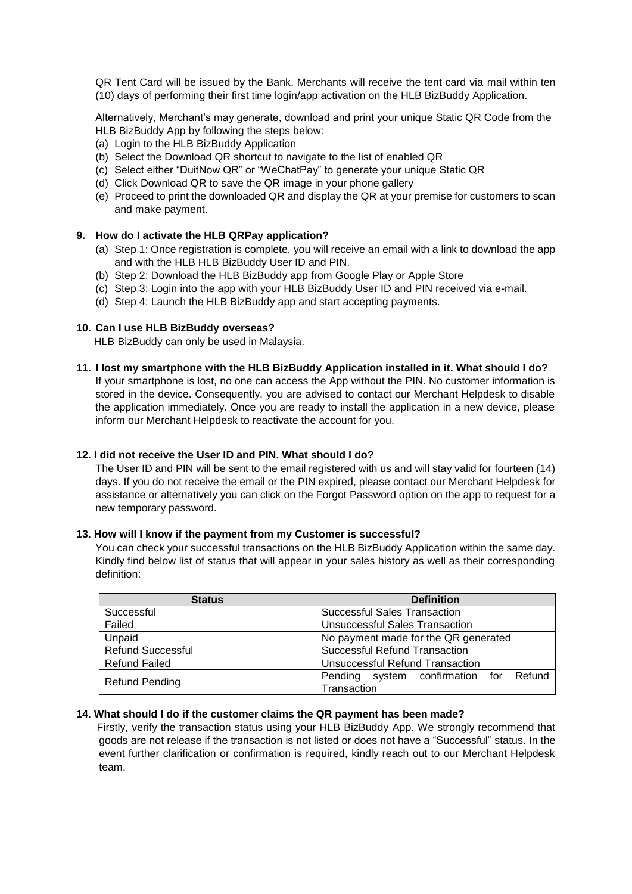QR Tent Card will be issued by the Bank. Merchants will receive the tent card via mail within ten (10) days of performing their first time login/app activation on the HLB BizBuddy Application.

Alternatively, Merchant's may generate, download and print your unique Static QR Code from the HLB BizBuddy App by following the steps below:

- (a) Login to the HLB BizBuddy Application
- (b) Select the Download QR shortcut to navigate to the list of enabled QR
- (c) Select either "DuitNow QR" or "WeChatPay" to generate your unique Static QR
- (d) Click Download QR to save the QR image in your phone gallery
- (e) Proceed to print the downloaded QR and display the QR at your premise for customers to scan and make payment.

## **9. How do I activate the HLB QRPay application?**

- (a) Step 1: Once registration is complete, you will receive an email with a link to download the app and with the HLB HLB BizBuddy User ID and PIN.
- (b) Step 2: Download the HLB BizBuddy app from Google Play or Apple Store
- (c) Step 3: Login into the app with your HLB BizBuddy User ID and PIN received via e-mail.
- (d) Step 4: Launch the HLB BizBuddy app and start accepting payments.

## **10. Can I use HLB BizBuddy overseas?**

HLB BizBuddy can only be used in Malaysia.

### **11. I lost my smartphone with the HLB BizBuddy Application installed in it. What should I do?**

If your smartphone is lost, no one can access the App without the PIN. No customer information is stored in the device. Consequently, you are advised to contact our Merchant Helpdesk to disable the application immediately. Once you are ready to install the application in a new device, please inform our Merchant Helpdesk to reactivate the account for you.

### **12. I did not receive the User ID and PIN. What should I do?**

The User ID and PIN will be sent to the email registered with us and will stay valid for fourteen (14) days. If you do not receive the email or the PIN expired, please contact our Merchant Helpdesk for assistance or alternatively you can click on the Forgot Password option on the app to request for a new temporary password.

### **13. How will I know if the payment from my Customer is successful?**

You can check your successful transactions on the HLB BizBuddy Application within the same day. Kindly find below list of status that will appear in your sales history as well as their corresponding definition:

| <b>Status</b>            | <b>Definition</b>                      |
|--------------------------|----------------------------------------|
| Successful               | <b>Successful Sales Transaction</b>    |
| Failed                   | <b>Unsuccessful Sales Transaction</b>  |
| Unpaid                   | No payment made for the QR generated   |
| <b>Refund Successful</b> | <b>Successful Refund Transaction</b>   |
| <b>Refund Failed</b>     | Unsuccessful Refund Transaction        |
| <b>Refund Pending</b>    | Pending system confirmation for Refund |
|                          | Transaction                            |

### **14. What should I do if the customer claims the QR payment has been made?**

 Firstly, verify the transaction status using your HLB BizBuddy App. We strongly recommend that goods are not release if the transaction is not listed or does not have a "Successful" status. In the event further clarification or confirmation is required, kindly reach out to our Merchant Helpdesk team.